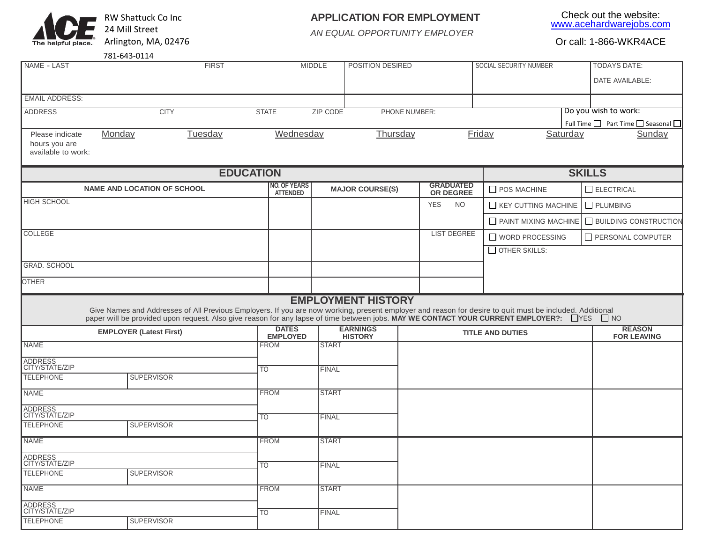

## **APPLICATION FOR EMPLOYMENT**

Check out the website: [www.acehardwarejobs.com](http://www.acehardwarejobs.com/)

*AN EQUAL OPPORTUNITY EMPLOYER*

| 781-643-0114 |
|--------------|
|              |

| NAME - LAST                                            |                                                                                                                                                                               | <b>FIRST</b>     |                                        | <b>MIDDLE</b>   | POSITION DESIRED          |                                      | SOCIAL SECURITY NUMBER     |          | <b>TODAYS DATE:</b>                |
|--------------------------------------------------------|-------------------------------------------------------------------------------------------------------------------------------------------------------------------------------|------------------|----------------------------------------|-----------------|---------------------------|--------------------------------------|----------------------------|----------|------------------------------------|
|                                                        |                                                                                                                                                                               |                  |                                        |                 |                           |                                      |                            |          | DATE AVAILABLE:                    |
| <b>EMAIL ADDRESS:</b>                                  |                                                                                                                                                                               |                  |                                        |                 |                           |                                      |                            |          |                                    |
| <b>ADDRESS</b>                                         | <b>CITY</b>                                                                                                                                                                   |                  | <b>STATE</b>                           | <b>ZIP CODE</b> | PHONE NUMBER:             |                                      |                            |          | Do you wish to work:               |
|                                                        |                                                                                                                                                                               |                  |                                        |                 |                           |                                      |                            |          | Full Time □ Part Time □ Seasonal □ |
| Please indicate<br>hours you are<br>available to work: | Monday                                                                                                                                                                        | Tuesday          | Wednesday                              |                 | Thursday                  |                                      | Friday                     | Saturday | Sunday                             |
|                                                        |                                                                                                                                                                               | <b>EDUCATION</b> |                                        |                 |                           |                                      |                            |          | <b>SKILLS</b>                      |
|                                                        | <b>NAME AND LOCATION OF SCHOOL</b>                                                                                                                                            |                  | <b>NO. OF YEARS</b><br><b>ATTENDED</b> |                 | <b>MAJOR COURSE(S)</b>    | <b>GRADUATED</b><br><b>OR DEGREE</b> | POS MACHINE                |          | $\Box$ ELECTRICAL                  |
| <b>HIGH SCHOOL</b>                                     |                                                                                                                                                                               |                  |                                        |                 |                           | <b>YES</b><br><b>NO</b>              | $\Box$ KEY CUTTING MACHINE |          | $\Box$ PLUMBING                    |
|                                                        |                                                                                                                                                                               |                  |                                        |                 |                           |                                      | PAINT MIXING MACHINE       |          | <b>BUILDING CONSTRUCTION</b>       |
| COLLEGE                                                |                                                                                                                                                                               |                  |                                        |                 |                           | <b>LIST DEGREE</b>                   | WORD PROCESSING            |          | PERSONAL COMPUTER                  |
|                                                        |                                                                                                                                                                               |                  |                                        |                 |                           |                                      | OTHER SKILLS:              |          |                                    |
| <b>GRAD. SCHOOL</b>                                    |                                                                                                                                                                               |                  |                                        |                 |                           |                                      |                            |          |                                    |
| <b>OTHER</b>                                           |                                                                                                                                                                               |                  |                                        |                 |                           |                                      |                            |          |                                    |
|                                                        | Give Names and Addresses of All Previous Employers. If you are now working, present employer and reason for desire to quit must be included. Additional                       |                  |                                        |                 | <b>EMPLOYMENT HISTORY</b> |                                      |                            |          |                                    |
|                                                        | paper will be provided upon request. Also give reason for any lapse of time between jobs. MAY WE CONTACT YOUR CURRENT EMPLOYER?: □ YES □ NO<br><b>EMPLOYER (Latest First)</b> |                  | <b>DATES</b>                           |                 | <b>EARNINGS</b>           |                                      | <b>TITLE AND DUTIES</b>    |          | <b>REASON</b>                      |
| <b>NAME</b>                                            |                                                                                                                                                                               |                  | <b>EMPLOYED</b><br><b>FROM</b>         | <b>START</b>    | <b>HISTORY</b>            |                                      |                            |          | <b>FOR LEAVING</b>                 |
| ADDRESS<br>CITY/STATE/ZIP                              |                                                                                                                                                                               |                  |                                        |                 |                           |                                      |                            |          |                                    |
| <b>TELEPHONE</b>                                       | <b>SUPERVISOR</b>                                                                                                                                                             |                  | <b>TO</b>                              | <b>FINAL</b>    |                           |                                      |                            |          |                                    |
| <b>NAME</b>                                            |                                                                                                                                                                               |                  | <b>FROM</b>                            | <b>START</b>    |                           |                                      |                            |          |                                    |
| ADDRESS<br>CITY/STATE/ZIP                              |                                                                                                                                                                               |                  | $\overline{TO}$                        | <b>FINAL</b>    |                           |                                      |                            |          |                                    |
| <b>TELEPHONE</b>                                       | <b>SUPERVISOR</b>                                                                                                                                                             |                  |                                        |                 |                           |                                      |                            |          |                                    |
| <b>NAME</b>                                            |                                                                                                                                                                               |                  | <b>FROM</b>                            | <b>START</b>    |                           |                                      |                            |          |                                    |
| <b>ADDRESS</b><br>CITY/STATE/ZIP                       |                                                                                                                                                                               |                  | $\overline{\text{TO}}$                 | <b>FINAL</b>    |                           |                                      |                            |          |                                    |
| <b>TELEPHONE</b>                                       | <b>SUPERVISOR</b>                                                                                                                                                             |                  |                                        |                 |                           |                                      |                            |          |                                    |
| <b>NAME</b>                                            |                                                                                                                                                                               |                  | <b>FROM</b>                            | <b>START</b>    |                           |                                      |                            |          |                                    |
| ADDRESS<br>CITY/STATE/ZIP                              |                                                                                                                                                                               |                  | <b>TO</b>                              | <b>FINAL</b>    |                           |                                      |                            |          |                                    |
| <b>TELEPHONE</b>                                       | <b>SUPERVISOR</b>                                                                                                                                                             |                  |                                        |                 |                           |                                      |                            |          |                                    |